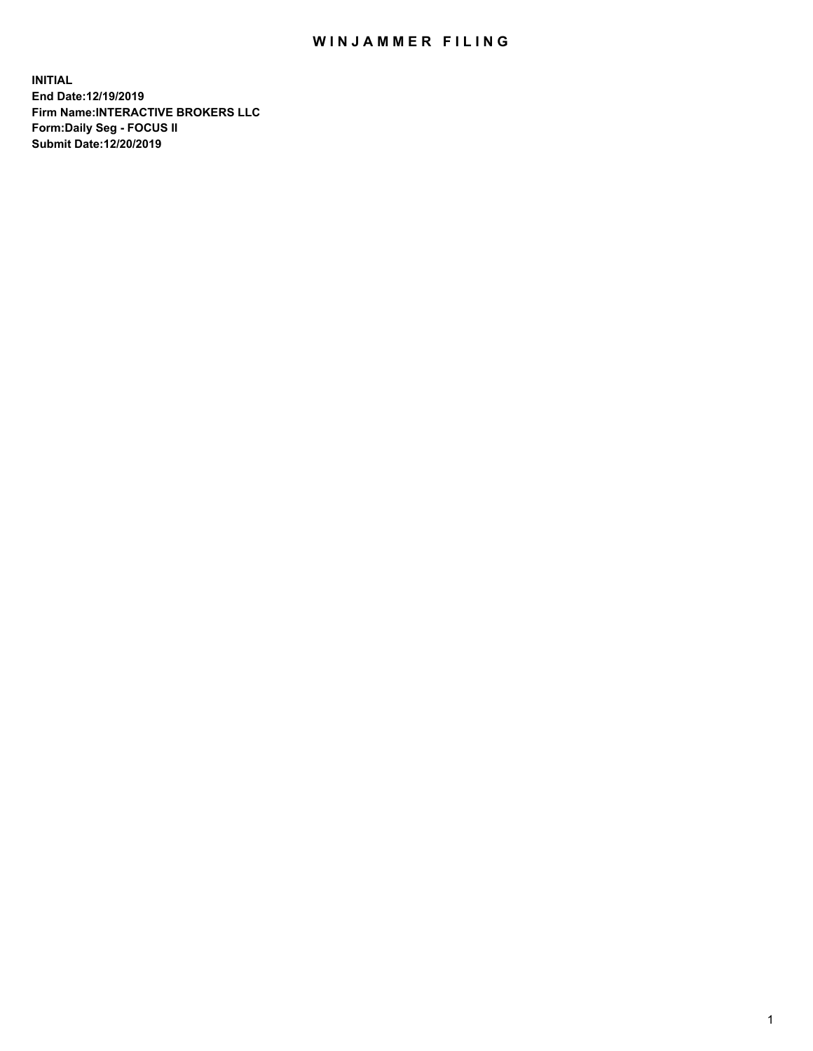## WIN JAMMER FILING

**INITIAL End Date:12/19/2019 Firm Name:INTERACTIVE BROKERS LLC Form:Daily Seg - FOCUS II Submit Date:12/20/2019**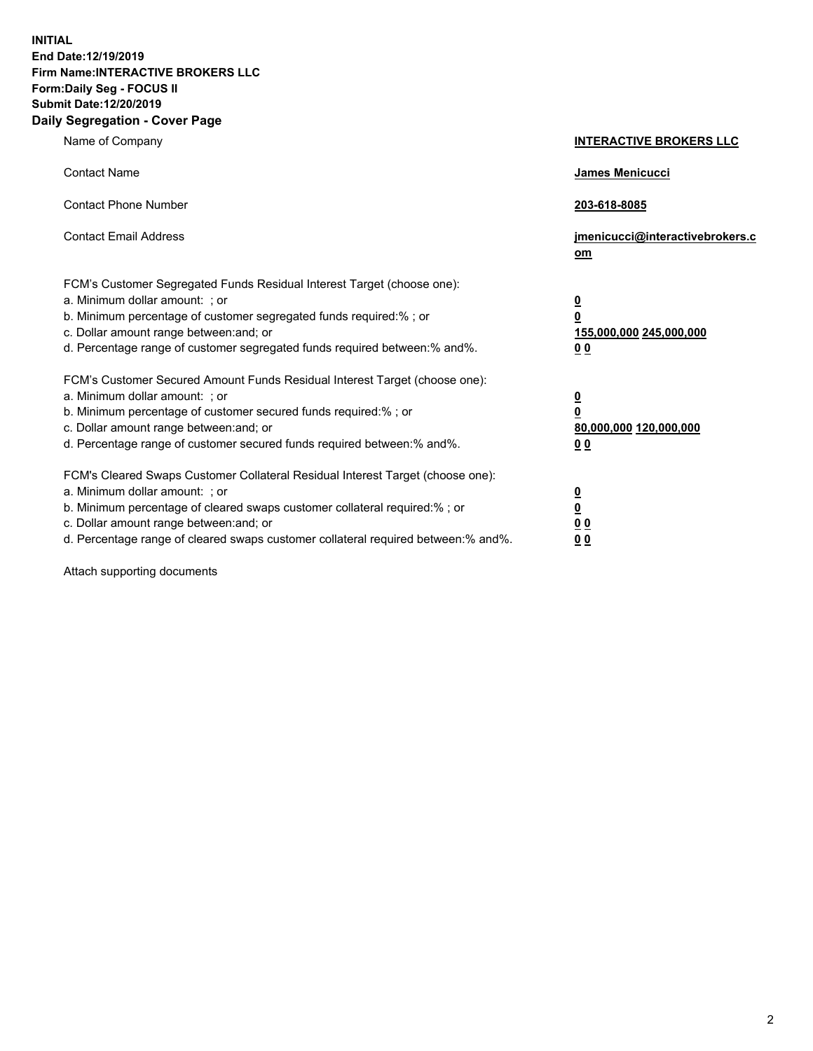**INITIAL End Date:12/19/2019 Firm Name:INTERACTIVE BROKERS LLC Form:Daily Seg - FOCUS II Submit Date:12/20/2019 Daily Segregation - Cover Page**

| Name of Company                                                                                                                                                                                                                                                                                                                | <b>INTERACTIVE BROKERS LLC</b>                                                                  |
|--------------------------------------------------------------------------------------------------------------------------------------------------------------------------------------------------------------------------------------------------------------------------------------------------------------------------------|-------------------------------------------------------------------------------------------------|
| <b>Contact Name</b>                                                                                                                                                                                                                                                                                                            | James Menicucci                                                                                 |
| <b>Contact Phone Number</b>                                                                                                                                                                                                                                                                                                    | 203-618-8085                                                                                    |
| <b>Contact Email Address</b>                                                                                                                                                                                                                                                                                                   | jmenicucci@interactivebrokers.c<br>om                                                           |
| FCM's Customer Segregated Funds Residual Interest Target (choose one):<br>a. Minimum dollar amount: ; or<br>b. Minimum percentage of customer segregated funds required:% ; or<br>c. Dollar amount range between: and; or<br>d. Percentage range of customer segregated funds required between:% and%.                         | $\overline{\mathbf{0}}$<br>$\overline{\mathbf{0}}$<br>155,000,000 245,000,000<br>0 <sub>0</sub> |
| FCM's Customer Secured Amount Funds Residual Interest Target (choose one):<br>a. Minimum dollar amount: ; or<br>b. Minimum percentage of customer secured funds required:%; or<br>c. Dollar amount range between: and; or<br>d. Percentage range of customer secured funds required between:% and%.                            | $\overline{\mathbf{0}}$<br>$\overline{\mathbf{0}}$<br>80,000,000 120,000,000<br>0 <sub>0</sub>  |
| FCM's Cleared Swaps Customer Collateral Residual Interest Target (choose one):<br>a. Minimum dollar amount: ; or<br>b. Minimum percentage of cleared swaps customer collateral required:% ; or<br>c. Dollar amount range between: and; or<br>d. Percentage range of cleared swaps customer collateral required between:% and%. | $\overline{\mathbf{0}}$<br>$\underline{\mathbf{0}}$<br>0 <sub>0</sub><br>0 <sub>0</sub>         |

Attach supporting documents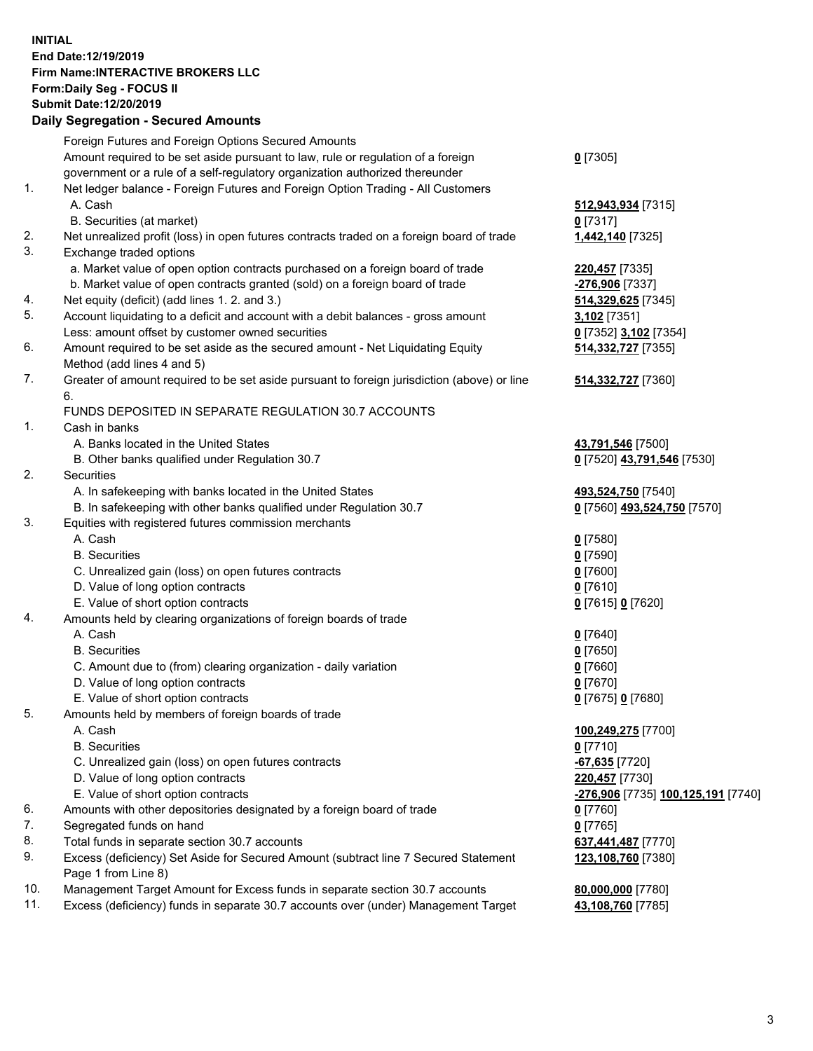## **INITIAL End Date:12/19/2019 Firm Name:INTERACTIVE BROKERS LLC Form:Daily Seg - FOCUS II Submit Date:12/20/2019 Daily Segregation - Secured Amounts**

|     | Dany Segregation - Secured Amounts                                                          |                                    |
|-----|---------------------------------------------------------------------------------------------|------------------------------------|
|     | Foreign Futures and Foreign Options Secured Amounts                                         |                                    |
|     | Amount required to be set aside pursuant to law, rule or regulation of a foreign            | $0$ [7305]                         |
|     | government or a rule of a self-regulatory organization authorized thereunder                |                                    |
| 1.  | Net ledger balance - Foreign Futures and Foreign Option Trading - All Customers             |                                    |
|     | A. Cash                                                                                     | 512,943,934 [7315]                 |
|     | B. Securities (at market)                                                                   | $0$ [7317]                         |
| 2.  | Net unrealized profit (loss) in open futures contracts traded on a foreign board of trade   | 1,442,140 [7325]                   |
| 3.  | Exchange traded options                                                                     |                                    |
|     | a. Market value of open option contracts purchased on a foreign board of trade              | 220,457 [7335]                     |
|     | b. Market value of open contracts granted (sold) on a foreign board of trade                | -276,906 [7337]                    |
| 4.  | Net equity (deficit) (add lines 1.2. and 3.)                                                | 514,329,625 [7345]                 |
| 5.  | Account liquidating to a deficit and account with a debit balances - gross amount           | 3,102 [7351]                       |
|     | Less: amount offset by customer owned securities                                            | 0 [7352] 3,102 [7354]              |
| 6.  | Amount required to be set aside as the secured amount - Net Liquidating Equity              | 514,332,727 [7355]                 |
|     | Method (add lines 4 and 5)                                                                  |                                    |
| 7.  | Greater of amount required to be set aside pursuant to foreign jurisdiction (above) or line | 514,332,727 [7360]                 |
|     | 6.                                                                                          |                                    |
|     | FUNDS DEPOSITED IN SEPARATE REGULATION 30.7 ACCOUNTS                                        |                                    |
| 1.  | Cash in banks                                                                               |                                    |
|     | A. Banks located in the United States                                                       | 43,791,546 [7500]                  |
|     | B. Other banks qualified under Regulation 30.7                                              | 0 [7520] 43,791,546 [7530]         |
| 2.  | Securities                                                                                  |                                    |
|     | A. In safekeeping with banks located in the United States                                   | 493,524,750 [7540]                 |
|     | B. In safekeeping with other banks qualified under Regulation 30.7                          | 0 [7560] 493,524,750 [7570]        |
| 3.  | Equities with registered futures commission merchants                                       |                                    |
|     | A. Cash                                                                                     | $0$ [7580]                         |
|     | <b>B.</b> Securities                                                                        | $0$ [7590]                         |
|     | C. Unrealized gain (loss) on open futures contracts                                         | $0$ [7600]                         |
|     | D. Value of long option contracts                                                           | $0$ [7610]                         |
|     | E. Value of short option contracts                                                          | 0 [7615] 0 [7620]                  |
| 4.  | Amounts held by clearing organizations of foreign boards of trade                           |                                    |
|     | A. Cash                                                                                     | $0$ [7640]                         |
|     | <b>B.</b> Securities                                                                        | $0$ [7650]                         |
|     | C. Amount due to (from) clearing organization - daily variation                             | $0$ [7660]                         |
|     | D. Value of long option contracts                                                           | $0$ [7670]                         |
|     | E. Value of short option contracts                                                          | 0 [7675] 0 [7680]                  |
| 5.  | Amounts held by members of foreign boards of trade                                          |                                    |
|     | A. Cash                                                                                     | 100,249,275 [7700]                 |
|     | <b>B.</b> Securities                                                                        | $0$ [7710]                         |
|     | C. Unrealized gain (loss) on open futures contracts                                         | -67,635 <sup>[7720]</sup>          |
|     | D. Value of long option contracts                                                           | 220,457 [7730]                     |
|     | E. Value of short option contracts                                                          | -276,906 [7735] 100,125,191 [7740] |
| 6.  | Amounts with other depositories designated by a foreign board of trade                      | $0$ [7760]                         |
| 7.  | Segregated funds on hand                                                                    | $0$ [7765]                         |
| 8.  | Total funds in separate section 30.7 accounts                                               | 637,441,487 [7770]                 |
| 9.  | Excess (deficiency) Set Aside for Secured Amount (subtract line 7 Secured Statement         | 123,108,760 [7380]                 |
|     | Page 1 from Line 8)                                                                         |                                    |
| 10. | Management Target Amount for Excess funds in separate section 30.7 accounts                 | 80,000,000 [7780]                  |
| 11. | Excess (deficiency) funds in separate 30.7 accounts over (under) Management Target          | 43,108,760 [7785]                  |
|     |                                                                                             |                                    |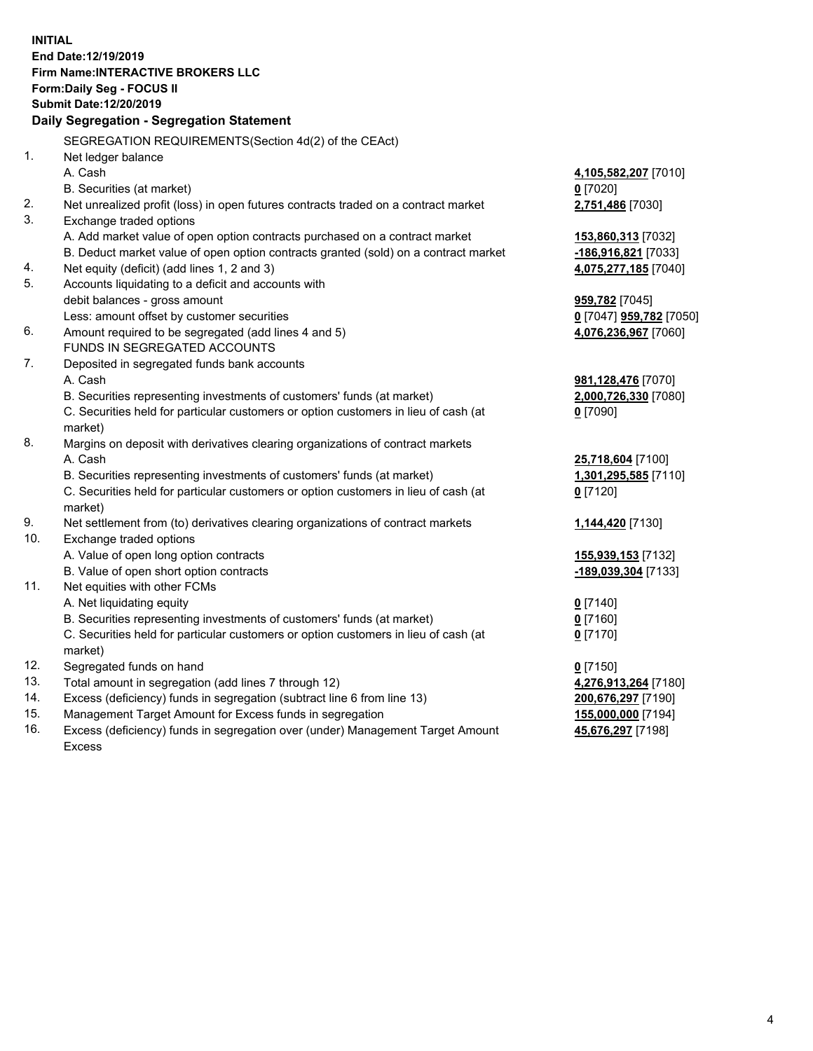**INITIAL End Date:12/19/2019 Firm Name:INTERACTIVE BROKERS LLC Form:Daily Seg - FOCUS II Submit Date:12/20/2019 Daily Segregation - Segregation Statement** SEGREGATION REQUIREMENTS(Section 4d(2) of the CEAct) 1. Net ledger balance A. Cash **4,105,582,207** [7010] B. Securities (at market) **0** [7020] 2. Net unrealized profit (loss) in open futures contracts traded on a contract market **2,751,486** [7030] 3. Exchange traded options A. Add market value of open option contracts purchased on a contract market **153,860,313** [7032] B. Deduct market value of open option contracts granted (sold) on a contract market **-186,916,821** [7033] 4. Net equity (deficit) (add lines 1, 2 and 3) **4,075,277,185** [7040] 5. Accounts liquidating to a deficit and accounts with debit balances - gross amount **959,782** [7045] Less: amount offset by customer securities **0** [7047] **959,782** [7050] 6. Amount required to be segregated (add lines 4 and 5) **4,076,236,967** [7060] FUNDS IN SEGREGATED ACCOUNTS 7. Deposited in segregated funds bank accounts A. Cash **981,128,476** [7070] B. Securities representing investments of customers' funds (at market) **2,000,726,330** [7080] C. Securities held for particular customers or option customers in lieu of cash (at market) **0** [7090] 8. Margins on deposit with derivatives clearing organizations of contract markets A. Cash **25,718,604** [7100] B. Securities representing investments of customers' funds (at market) **1,301,295,585** [7110] C. Securities held for particular customers or option customers in lieu of cash (at market) **0** [7120] 9. Net settlement from (to) derivatives clearing organizations of contract markets **1,144,420** [7130] 10. Exchange traded options A. Value of open long option contracts **155,939,153** [7132] B. Value of open short option contracts **-189,039,304** [7133] 11. Net equities with other FCMs A. Net liquidating equity **0** [7140] B. Securities representing investments of customers' funds (at market) **0** [7160] C. Securities held for particular customers or option customers in lieu of cash (at market) **0** [7170] 12. Segregated funds on hand **0** [7150] 13. Total amount in segregation (add lines 7 through 12) **4,276,913,264** [7180] 14. Excess (deficiency) funds in segregation (subtract line 6 from line 13) **200,676,297** [7190] 15. Management Target Amount for Excess funds in segregation **155,000,000** [7194] **45,676,297** [7198]

16. Excess (deficiency) funds in segregation over (under) Management Target Amount Excess